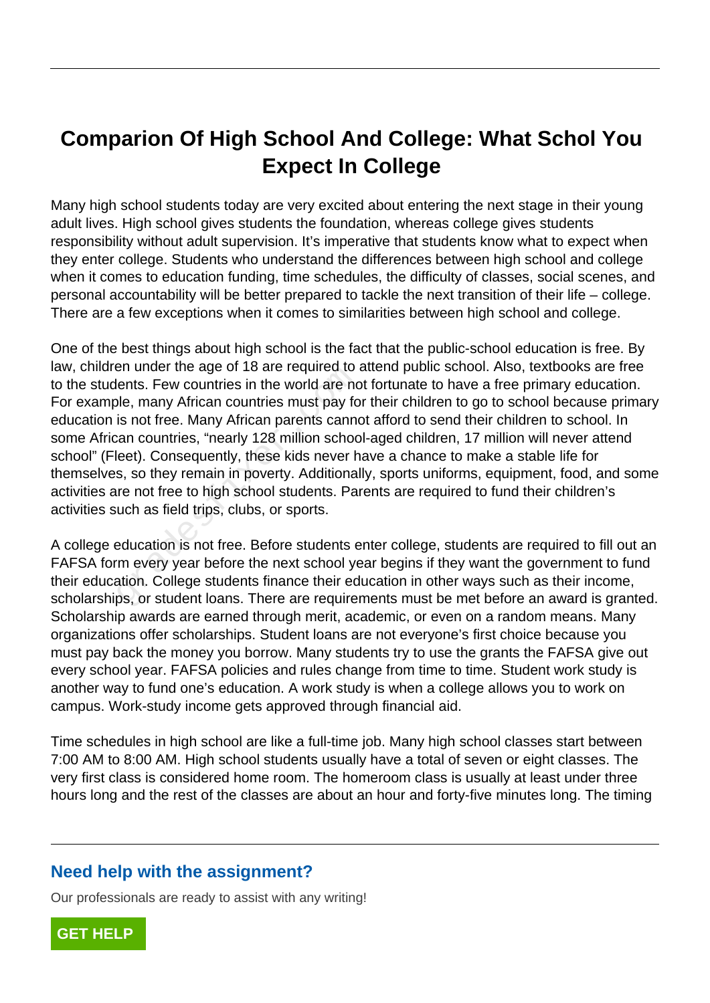# **Comparion Of High School And College: What Schol You Expect In College**

Many high school students today are very excited about entering the next stage in their young adult lives. High school gives students the foundation, whereas college gives students responsibility without adult supervision. It's imperative that students know what to expect when they enter college. Students who understand the differences between high school and college when it comes to education funding, time schedules, the difficulty of classes, social scenes, and personal accountability will be better prepared to tackle the next transition of their life – college. There are a few exceptions when it comes to similarities between high school and college.

One of the best things about high school is the fact that the public-school education is free. By law, children under the age of 18 are required to attend public school. Also, textbooks are free to the students. Few countries in the world are not fortunate to have a free primary education. For example, many African countries must pay for their children to go to school because primary education is not free. Many African parents cannot afford to send their children to school. In some African countries, "nearly 128 million school-aged children, 17 million will never attend school" (Fleet). Consequently, these kids never have a chance to make a stable life for themselves, so they remain in poverty. Additionally, sports uniforms, equipment, food, and some activities are not free to high school students. Parents are required to fund their children's activities such as field trips, clubs, or sports. en under the age of 10 are required to<br>lents. Few countries in the world are no<br>le, many African countries must pay fo<br>is not free. Many African parents canno<br>can countries, "nearly 128 million schoor<br>leet). Consequently,

A college education is not free. Before students enter college, students are required to fill out an FAFSA form every year before the next school year begins if they want the government to fund their education. College students finance their education in other ways such as their income, scholarships, or student loans. There are requirements must be met before an award is granted. Scholarship awards are earned through merit, academic, or even on a random means. Many organizations offer scholarships. Student loans are not everyone's first choice because you must pay back the money you borrow. Many students try to use the grants the FAFSA give out every school year. FAFSA policies and rules change from time to time. Student work study is another way to fund one's education. A work study is when a college allows you to work on campus. Work-study income gets approved through financial aid.

Time schedules in high school are like a full-time job. Many high school classes start between 7:00 AM to 8:00 AM. High school students usually have a total of seven or eight classes. The very first class is considered home room. The homeroom class is usually at least under three hours long and the rest of the classes are about an hour and forty-five minutes long. The timing

## **Need help with the assignment?**

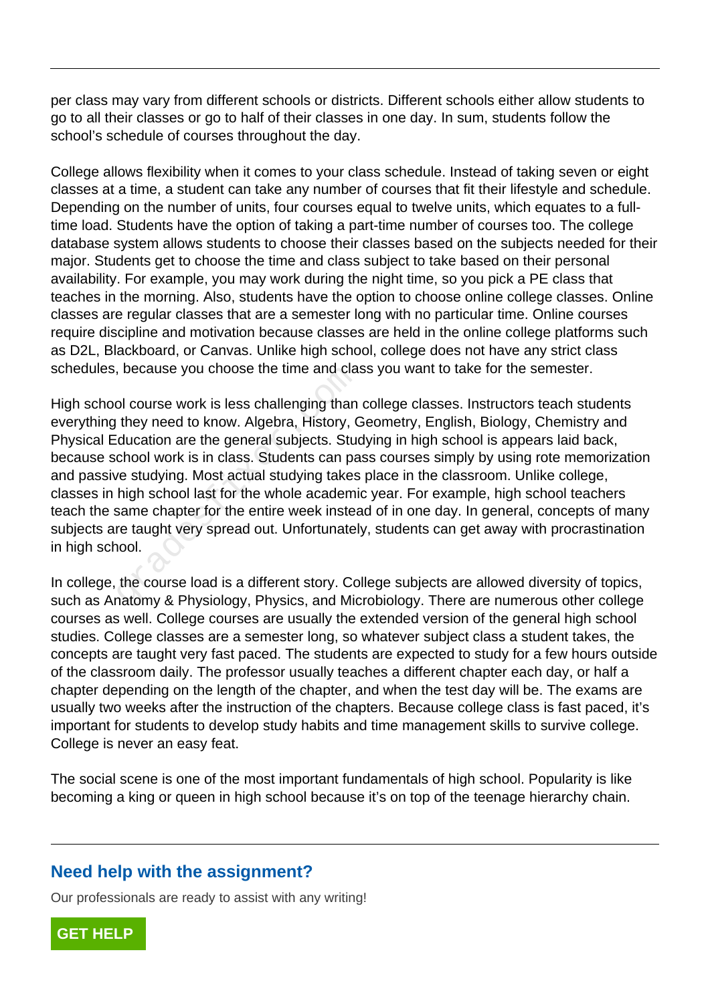per class may vary from different schools or districts. Different schools either allow students to go to all their classes or go to half of their classes in one day. In sum, students follow the school's schedule of courses throughout the day.

College allows flexibility when it comes to your class schedule. Instead of taking seven or eight classes at a time, a student can take any number of courses that fit their lifestyle and schedule. Depending on the number of units, four courses equal to twelve units, which equates to a fulltime load. Students have the option of taking a part-time number of courses too. The college database system allows students to choose their classes based on the subjects needed for their major. Students get to choose the time and class subject to take based on their personal availability. For example, you may work during the night time, so you pick a PE class that teaches in the morning. Also, students have the option to choose online college classes. Online classes are regular classes that are a semester long with no particular time. Online courses require discipline and motivation because classes are held in the online college platforms such as D2L, Blackboard, or Canvas. Unlike high school, college does not have any strict class schedules, because you choose the time and class you want to take for the semester.

High school course work is less challenging than college classes. Instructors teach students everything they need to know. Algebra, History, Geometry, English, Biology, Chemistry and Physical Education are the general subjects. Studying in high school is appears laid back, because school work is in class. Students can pass courses simply by using rote memorization and passive studying. Most actual studying takes place in the classroom. Unlike college, classes in high school last for the whole academic year. For example, high school teachers teach the same chapter for the entire week instead of in one day. In general, concepts of many subjects are taught very spread out. Unfortunately, students can get away with procrastination in high school. because you choose the time and clast of course work is less challenging than<br>they need to know. Algebra, History, C<br>ducation are the general subjects. Studento are the general subjects. Students<br>can pay of studying. Most

In college, the course load is a different story. College subjects are allowed diversity of topics, such as Anatomy & Physiology, Physics, and Microbiology. There are numerous other college courses as well. College courses are usually the extended version of the general high school studies. College classes are a semester long, so whatever subject class a student takes, the concepts are taught very fast paced. The students are expected to study for a few hours outside of the classroom daily. The professor usually teaches a different chapter each day, or half a chapter depending on the length of the chapter, and when the test day will be. The exams are usually two weeks after the instruction of the chapters. Because college class is fast paced, it's important for students to develop study habits and time management skills to survive college. College is never an easy feat.

The social scene is one of the most important fundamentals of high school. Popularity is like becoming a king or queen in high school because it's on top of the teenage hierarchy chain.

## **Need help with the assignment?**

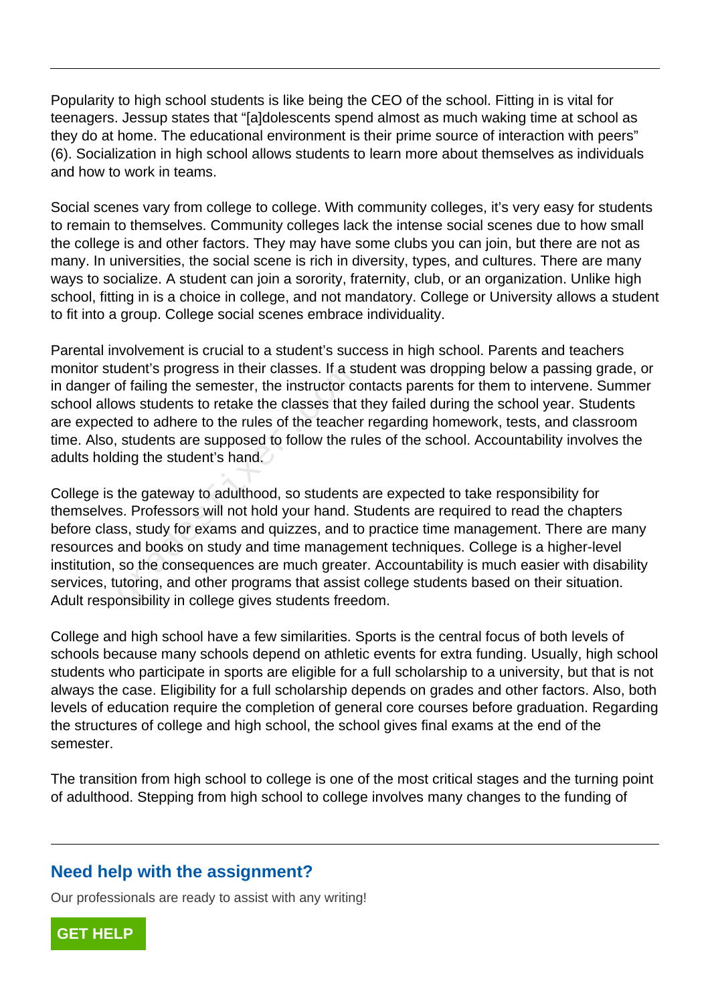Popularity to high school students is like being the CEO of the school. Fitting in is vital for teenagers. Jessup states that "[a]dolescents spend almost as much waking time at school as they do at home. The educational environment is their prime source of interaction with peers" (6). Socialization in high school allows students to learn more about themselves as individuals and how to work in teams.

Social scenes vary from college to college. With community colleges, it's very easy for students to remain to themselves. Community colleges lack the intense social scenes due to how small the college is and other factors. They may have some clubs you can join, but there are not as many. In universities, the social scene is rich in diversity, types, and cultures. There are many ways to socialize. A student can join a sorority, fraternity, club, or an organization. Unlike high school, fitting in is a choice in college, and not mandatory. College or University allows a student to fit into a group. College social scenes embrace individuality.

Parental involvement is crucial to a student's success in high school. Parents and teachers monitor student's progress in their classes. If a student was dropping below a passing grade, or in danger of failing the semester, the instructor contacts parents for them to intervene. Summer school allows students to retake the classes that they failed during the school year. Students are expected to adhere to the rules of the teacher regarding homework, tests, and classroom time. Also, students are supposed to follow the rules of the school. Accountability involves the adults holding the student's hand.

College is the gateway to adulthood, so students are expected to take responsibility for themselves. Professors will not hold your hand. Students are required to read the chapters before class, study for exams and quizzes, and to practice time management. There are many resources and books on study and time management techniques. College is a higher-level institution, so the consequences are much greater. Accountability is much easier with disability services, tutoring, and other programs that assist college students based on their situation. Adult responsibility in college gives students freedom. Sudent Suppless in their classes. It a st<br>of failing the semester, the instructor co<br>ws students to retake the classes that<br>ed to adhere to the rules of the teache<br>students are supposed to follow the ru<br>ling the student's

College and high school have a few similarities. Sports is the central focus of both levels of schools because many schools depend on athletic events for extra funding. Usually, high school students who participate in sports are eligible for a full scholarship to a university, but that is not always the case. Eligibility for a full scholarship depends on grades and other factors. Also, both levels of education require the completion of general core courses before graduation. Regarding the structures of college and high school, the school gives final exams at the end of the semester.

The transition from high school to college is one of the most critical stages and the turning point of adulthood. Stepping from high school to college involves many changes to the funding of

## **Need help with the assignment?**